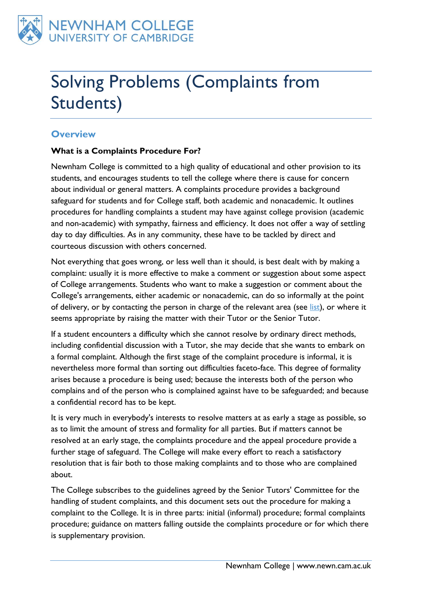

# Solving Problems (Complaints from Students)

## **Overview**

#### **What is a Complaints Procedure For?**

Newnham College is committed to a high quality of educational and other provision to its students, and encourages students to tell the college where there is cause for concern about individual or general matters. A complaints procedure provides a background safeguard for students and for College staff, both academic and nonacademic. It outlines procedures for handling complaints a student may have against college provision (academic and non-academic) with sympathy, fairness and efficiency. It does not offer a way of settling day to day difficulties. As in any community, these have to be tackled by direct and courteous discussion with others concerned.

Not everything that goes wrong, or less well than it should, is best dealt with by making a complaint: usually it is more effective to make a comment or suggestion about some aspect of College arrangements. Students who want to make a suggestion or comment about the College's arrangements, either academic or nonacademic, can do so informally at the point of delivery, or by contacting the person in charge of the relevant area (see [list\)](/about/people/officers-staff/), or where it seems appropriate by raising the matter with their Tutor or the Senior Tutor.

If a student encounters a difficulty which she cannot resolve by ordinary direct methods, including confidential discussion with a Tutor, she may decide that she wants to embark on a formal complaint. Although the first stage of the complaint procedure is informal, it is nevertheless more formal than sorting out difficulties faceto-face. This degree of formality arises because a procedure is being used; because the interests both of the person who complains and of the person who is complained against have to be safeguarded; and because a confidential record has to be kept.

It is very much in everybody's interests to resolve matters at as early a stage as possible, so as to limit the amount of stress and formality for all parties. But if matters cannot be resolved at an early stage, the complaints procedure and the appeal procedure provide a further stage of safeguard. The College will make every effort to reach a satisfactory resolution that is fair both to those making complaints and to those who are complained about.

The College subscribes to the guidelines agreed by the Senior Tutors' Committee for the handling of student complaints, and this document sets out the procedure for making a complaint to the College. It is in three parts: initial (informal) procedure; formal complaints procedure; guidance on matters falling outside the complaints procedure or for which there is supplementary provision.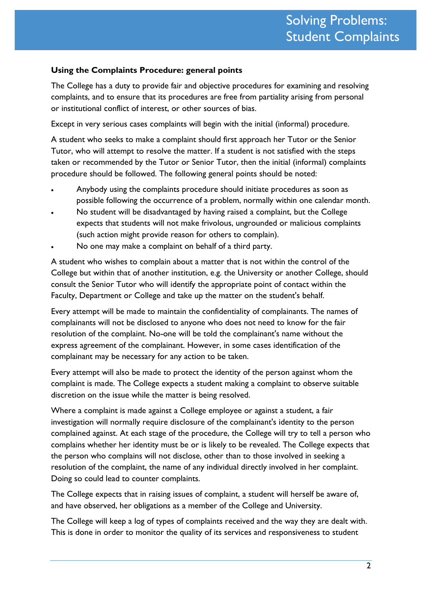#### **Using the Complaints Procedure: general points**

The College has a duty to provide fair and objective procedures for examining and resolving complaints, and to ensure that its procedures are free from partiality arising from personal or institutional conflict of interest, or other sources of bias.

Except in very serious cases complaints will begin with the initial (informal) procedure.

A student who seeks to make a complaint should first approach her Tutor or the Senior Tutor, who will attempt to resolve the matter. If a student is not satisfied with the steps taken or recommended by the Tutor or Senior Tutor, then the initial (informal) complaints procedure should be followed. The following general points should be noted:

- Anybody using the complaints procedure should initiate procedures as soon as possible following the occurrence of a problem, normally within one calendar month.
- No student will be disadvantaged by having raised a complaint, but the College expects that students will not make frivolous, ungrounded or malicious complaints (such action might provide reason for others to complain).
- No one may make a complaint on behalf of a third party.

A student who wishes to complain about a matter that is not within the control of the College but within that of another institution, e.g. the University or another College, should consult the Senior Tutor who will identify the appropriate point of contact within the Faculty, Department or College and take up the matter on the student's behalf.

Every attempt will be made to maintain the confidentiality of complainants. The names of complainants will not be disclosed to anyone who does not need to know for the fair resolution of the complaint. No-one will be told the complainant's name without the express agreement of the complainant. However, in some cases identification of the complainant may be necessary for any action to be taken.

Every attempt will also be made to protect the identity of the person against whom the complaint is made. The College expects a student making a complaint to observe suitable discretion on the issue while the matter is being resolved.

Where a complaint is made against a College employee or against a student, a fair investigation will normally require disclosure of the complainant's identity to the person complained against. At each stage of the procedure, the College will try to tell a person who complains whether her identity must be or is likely to be revealed. The College expects that the person who complains will not disclose, other than to those involved in seeking a resolution of the complaint, the name of any individual directly involved in her complaint. Doing so could lead to counter complaints.

The College expects that in raising issues of complaint, a student will herself be aware of, and have observed, her obligations as a member of the College and University.

The College will keep a log of types of complaints received and the way they are dealt with. This is done in order to monitor the quality of its services and responsiveness to student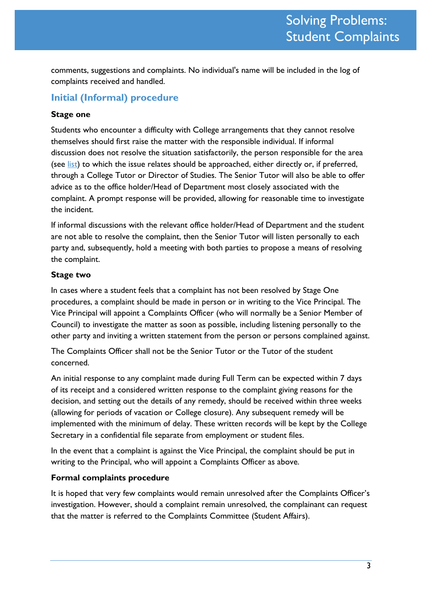comments, suggestions and complaints. No individual's name will be included in the log of complaints received and handled.

## **Initial (Informal) procedure**

#### **Stage one**

Students who encounter a difficulty with College arrangements that they cannot resolve themselves should first raise the matter with the responsible individual. If informal discussion does not resolve the situation satisfactorily, the person responsible for the area (see [list\)](https://d.docs.live.net/about/people/officers-staff/) to which the issue relates should be approached, either directly or, if preferred, through a College Tutor or Director of Studies. The Senior Tutor will also be able to offer advice as to the office holder/Head of Department most closely associated with the complaint. A prompt response will be provided, allowing for reasonable time to investigate the incident.

If informal discussions with the relevant office holder/Head of Department and the student are not able to resolve the complaint, then the Senior Tutor will listen personally to each party and, subsequently, hold a meeting with both parties to propose a means of resolving the complaint.

#### **Stage two**

In cases where a student feels that a complaint has not been resolved by Stage One procedures, a complaint should be made in person or in writing to the Vice Principal. The Vice Principal will appoint a Complaints Officer (who will normally be a Senior Member of Council) to investigate the matter as soon as possible, including listening personally to the other party and inviting a written statement from the person or persons complained against.

The Complaints Officer shall not be the Senior Tutor or the Tutor of the student concerned.

An initial response to any complaint made during Full Term can be expected within 7 days of its receipt and a considered written response to the complaint giving reasons for the decision, and setting out the details of any remedy, should be received within three weeks (allowing for periods of vacation or College closure). Any subsequent remedy will be implemented with the minimum of delay. These written records will be kept by the College Secretary in a confidential file separate from employment or student files.

In the event that a complaint is against the Vice Principal, the complaint should be put in writing to the Principal, who will appoint a Complaints Officer as above.

#### **Formal complaints procedure**

It is hoped that very few complaints would remain unresolved after the Complaints Officer's investigation. However, should a complaint remain unresolved, the complainant can request that the matter is referred to the Complaints Committee (Student Affairs).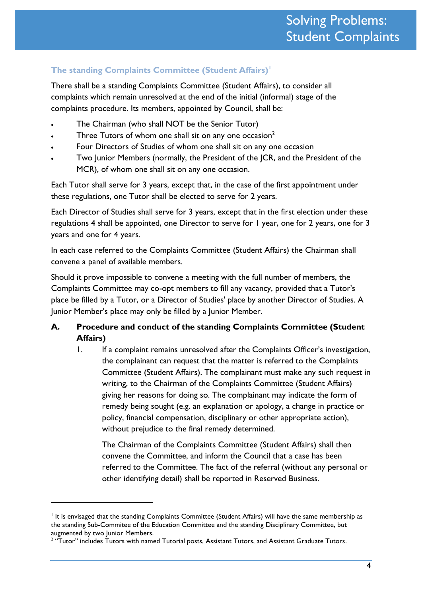## **The standing Complaints Committee (Student Affairs)<sup>1</sup>**

There shall be a standing Complaints Committee (Student Affairs), to consider all complaints which remain unresolved at the end of the initial (informal) stage of the complaints procedure. Its members, appointed by Council, shall be:

- The Chairman (who shall NOT be the Senior Tutor)
- Three Tutors of whom one shall sit on any one occasion<sup>2</sup>
- Four Directors of Studies of whom one shall sit on any one occasion
- Two Junior Members (normally, the President of the JCR, and the President of the MCR), of whom one shall sit on any one occasion.

Each Tutor shall serve for 3 years, except that, in the case of the first appointment under these regulations, one Tutor shall be elected to serve for 2 years.

Each Director of Studies shall serve for 3 years, except that in the first election under these regulations 4 shall be appointed, one Director to serve for 1 year, one for 2 years, one for 3 years and one for 4 years.

In each case referred to the Complaints Committee (Student Affairs) the Chairman shall convene a panel of available members.

Should it prove impossible to convene a meeting with the full number of members, the Complaints Committee may co-opt members to fill any vacancy, provided that a Tutor's place be filled by a Tutor, or a Director of Studies' place by another Director of Studies. A Junior Member's place may only be filled by a Junior Member.

## **A. Procedure and conduct of the standing Complaints Committee (Student Affairs)**

1. If a complaint remains unresolved after the Complaints Officer's investigation, the complainant can request that the matter is referred to the Complaints Committee (Student Affairs). The complainant must make any such request in writing, to the Chairman of the Complaints Committee (Student Affairs) giving her reasons for doing so. The complainant may indicate the form of remedy being sought (e.g. an explanation or apology, a change in practice or policy, financial compensation, disciplinary or other appropriate action), without prejudice to the final remedy determined.

The Chairman of the Complaints Committee (Student Affairs) shall then convene the Committee, and inform the Council that a case has been referred to the Committee. The fact of the referral (without any personal or other identifying detail) shall be reported in Reserved Business.

<u>.</u>

It is envisaged that the standing Complaints Committee (Student Affairs) will have the same membership as the standing Sub-Commitee of the Education Committee and the standing Disciplinary Committee, but augmented by two Junior Members.

 $2$  "Tutor" includes Tutors with named Tutorial posts, Assistant Tutors, and Assistant Graduate Tutors.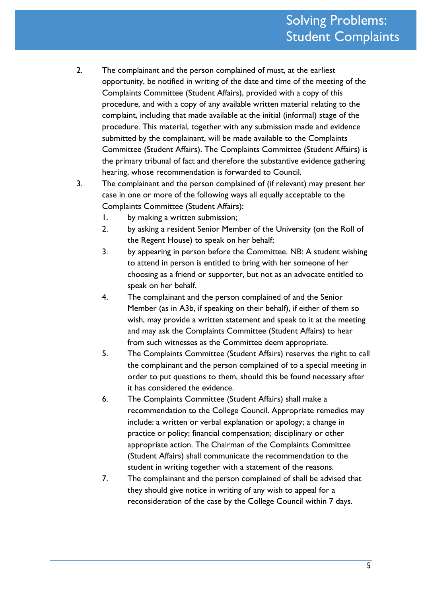- 2. The complainant and the person complained of must, at the earliest opportunity, be notified in writing of the date and time of the meeting of the Complaints Committee (Student Affairs), provided with a copy of this procedure, and with a copy of any available written material relating to the complaint, including that made available at the initial (informal) stage of the procedure. This material, together with any submission made and evidence submitted by the complainant, will be made available to the Complaints Committee (Student Affairs). The Complaints Committee (Student Affairs) is the primary tribunal of fact and therefore the substantive evidence gathering hearing, whose recommendation is forwarded to Council.
- 3. The complainant and the person complained of (if relevant) may present her case in one or more of the following ways all equally acceptable to the Complaints Committee (Student Affairs):
	- 1. by making a written submission;
	- 2. by asking a resident Senior Member of the University (on the Roll of the Regent House) to speak on her behalf;
	- 3. by appearing in person before the Committee. NB: A student wishing to attend in person is entitled to bring with her someone of her choosing as a friend or supporter, but not as an advocate entitled to speak on her behalf.
	- 4. The complainant and the person complained of and the Senior Member (as in A3b, if speaking on their behalf), if either of them so wish, may provide a written statement and speak to it at the meeting and may ask the Complaints Committee (Student Affairs) to hear from such witnesses as the Committee deem appropriate.
	- 5. The Complaints Committee (Student Affairs) reserves the right to call the complainant and the person complained of to a special meeting in order to put questions to them, should this be found necessary after it has considered the evidence.
	- 6. The Complaints Committee (Student Affairs) shall make a recommendation to the College Council. Appropriate remedies may include: a written or verbal explanation or apology; a change in practice or policy; financial compensation; disciplinary or other appropriate action. The Chairman of the Complaints Committee (Student Affairs) shall communicate the recommendation to the student in writing together with a statement of the reasons.
	- 7. The complainant and the person complained of shall be advised that they should give notice in writing of any wish to appeal for a reconsideration of the case by the College Council within 7 days.